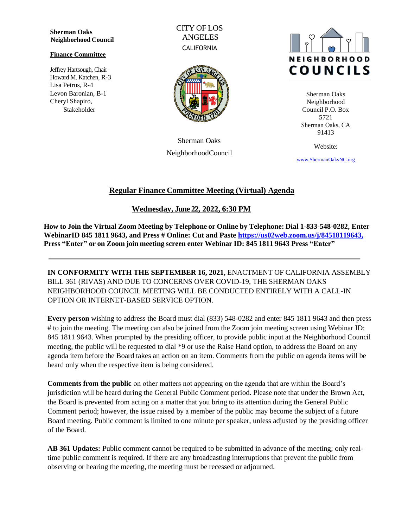**Sherman Oaks Neighborhood Council**

#### **Finance Committee**

Jeffrey Hartsough, Chair Howard M. Katchen, R-3 Lisa Petrus, R-4 Levon Baronian, B-1 Cheryl Shapiro, Stakeholder

CITY OF LOS ANGELES **CALIFORNIA** 



Sherman Oaks NeighborhoodCouncil



Sherman Oaks Neighborhood Council P.O. Box 5721 Sherman Oaks, CA 91413

Website:

[www.ShermanOaksNC.](http://www.shermanoaksnc./)[org](http://www.shermanoaksnc.org/)

# **Regular Finance Committee Meeting (Virtual) Agenda**

**Wednesday, June 22, 2022, 6:30 PM**

**How to Join the Virtual Zoom Meeting by Telephone or Online by Telephone: Dial 1-833-548-0282, Enter WebinarID 845 1811 9643, and Press # Online: Cut and Paste [https://us02web.zoom.us/j/84518119643,](https://us02web.zoom.us/j/84518119643) Press "Enter" or on Zoom join meeting screen enter Webinar ID: 845 1811 9643 Press "Enter"**

**IN CONFORMITY WITH THE SEPTEMBER 16, 2021,** ENACTMENT OF CALIFORNIA ASSEMBLY BILL 361 (RIVAS) AND DUE TO CONCERNS OVER COVID-19, THE SHERMAN OAKS NEIGHBORHOOD COUNCIL MEETING WILL BE CONDUCTED ENTIRELY WITH A CALL-IN OPTION OR INTERNET-BASED SERVICE OPTION.

**Every person** wishing to address the Board must dial (833) 548-0282 and enter 845 1811 9643 and then press # to join the meeting. The meeting can also be joined from the Zoom join meeting screen using Webinar ID: 845 1811 9643. When prompted by the presiding officer, to provide public input at the Neighborhood Council meeting, the public will be requested to dial \*9 or use the Raise Hand option, to address the Board on any agenda item before the Board takes an action on an item. Comments from the public on agenda items will be heard only when the respective item is being considered.

**Comments from the public** on other matters not appearing on the agenda that are within the Board's jurisdiction will be heard during the General Public Comment period. Please note that under the Brown Act, the Board is prevented from acting on a matter that you bring to its attention during the General Public Comment period; however, the issue raised by a member of the public may become the subject of a future Board meeting. Public comment is limited to one minute per speaker, unless adjusted by the presiding officer of the Board.

**AB 361 Updates:** Public comment cannot be required to be submitted in advance of the meeting; only realtime public comment is required. If there are any broadcasting interruptions that prevent the public from observing or hearing the meeting, the meeting must be recessed or adjourned.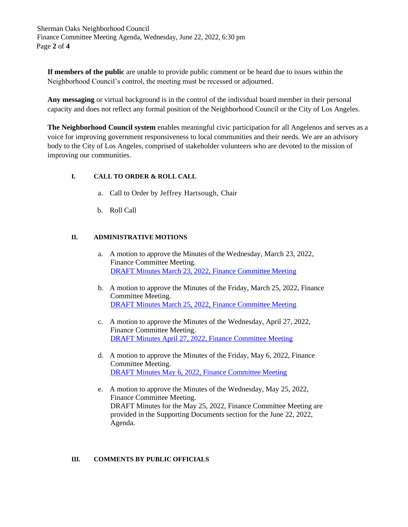Sherman Oaks Neighborhood Council Finance Committee Meeting Agenda, Wednesday, June 22, 2022, 6:30 pm Page **2** of **4**

**If members of the public** are unable to provide public comment or be heard due to issues within the Neighborhood Council's control, the meeting must be recessed or adjourned.

**Any messaging** or virtual background is in the control of the individual board member in their personal capacity and does not reflect any formal position of the Neighborhood Council or the City of Los Angeles.

**The Neighborhood Council system** enables meaningful civic participation for all Angelenos and serves as a voice for improving government responsiveness to local communities and their needs. We are an advisory body to the City of Los Angeles, comprised of stakeholder volunteers who are devoted to the mission of improving our communities.

# **I. CALL TO ORDER & ROLL CALL**

- a. Call to Order by Jeffrey Hartsough, Chair
- b. Roll Call

# **II. ADMINISTRATIVE MOTIONS**

- a. A motion to approve the Minutes of the Wednesday, March 23, 2022, Finance Committee Meeting. [DRAFT Minutes March 23, 2022,](https://www.shermanoaksnc.org/assets/documents/7/meeting62afbdcb8e6ab.pdf) Finance Committee Meeting
- b. A motion to approve the Minutes of the Friday, March 25, 2022, Finance Committee Meeting. [DRAFT Minutes March 25, 2022,](https://www.shermanoaksnc.org/assets/documents/7/meeting62afbdd9ec100.pdf) Finance Committee Meeting
- c. A motion to approve the Minutes of the Wednesday, April 27, 2022, Finance Committee Meeting. [DRAFT Minutes April 27, 2022,](https://www.shermanoaksnc.org/assets/documents/7/meeting62afbde5640e6.pdf) Finance Committee Meeting
- d. A motion to approve the Minutes of the Friday, May 6, 2022, Finance Committee Meeting. [DRAFT Minutes May 6, 2022,](https://www.shermanoaksnc.org/assets/documents/7/meeting62afbdfdb3a09.pdf) Finance Committee Meeting
- e. A motion to approve the Minutes of the Wednesday, May 25, 2022, Finance Committee Meeting. DRAFT Minutes for the May 25, 2022, Finance Committee Meeting are provided in the Supporting Documents section for the June 22, 2022, Agenda.

### **III. COMMENTS BY PUBLIC OFFICIALS**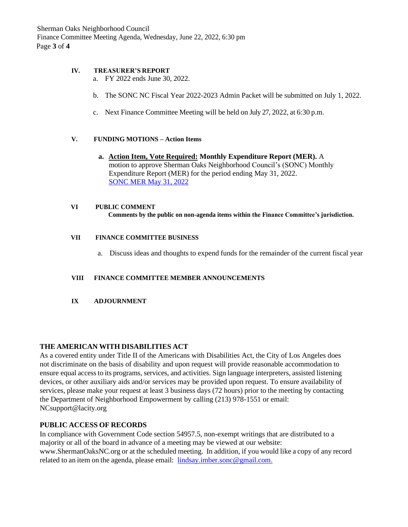Sherman Oaks Neighborhood Council Finance Committee Meeting Agenda, Wednesday, June 22, 2022, 6:30 pm Page **3** of **4**

### **IV. TREASURER'S REPORT**

- a. FY 2022 ends June 30, 2022.
- b. The SONC NC Fiscal Year 2022-2023 Admin Packet will be submitted on July 1, 2022.
- c. Next Finance Committee Meeting will be held on July 27, 2022, at 6:30 p.m.

### **V. FUNDING MOTIONS – Action Items**

**a. Action Item, Vote Required: Monthly Expenditure Report (MER).** A motion to approve Sherman Oaks Neighborhood Council's (SONC) Monthly Expenditure Report (MER) for the period ending May 31, 2022. SONC MER [May 31,](https://www.shermanoaksnc.org/assets/documents/7/meeting62afc05c62b11.pdf) 2022

#### **VI PUBLIC COMMENT Comments by the public on non-agenda items within the Finance Committee's jurisdiction.**

#### **VII FINANCE COMMITTEE BUSINESS**

a. Discuss ideas and thoughts to expend funds for the remainder of the current fiscal year

#### **VIII FINANCE COMMITTEE MEMBER ANNOUNCEMENTS**

**IX ADJOURNMENT**

### **THE AMERICAN WITH DISABILITIES ACT**

As a covered entity under Title II of the Americans with Disabilities Act, the City of Los Angeles does not discriminate on the basis of disability and upon request will provide reasonable accommodation to ensure equal accessto its programs, services, and activities. Sign language interpreters, assisted listening devices, or other auxiliary aids and/or services may be provided upon request. To ensure availability of services, please make your request at least 3 business days (72 hours) prior to the meeting by contacting the Department of Neighborhood Empowerment by calling (213) 978-1551 or email: [NCsu](mailto:NCsupport@lacity.org)[pport@lacity.org](mailto:ort@lacity.org)

### **PUBLIC ACCESS OF RECORDS**

In compliance with Government Code section 54957.5, non-exempt writings that are distributed to a majority or all of the board in advance of a meeting may be viewed at our website: [www.ShermanOaksNC.org](http://www.shermanoaksnc.org/) or at the scheduled meeting. In addition, if you would like a copy of any record related to an item on the agenda, please email: [lindsay.imber.sonc@gmail.com.](mailto:lindsay.imber.sonc@gmail.com.)